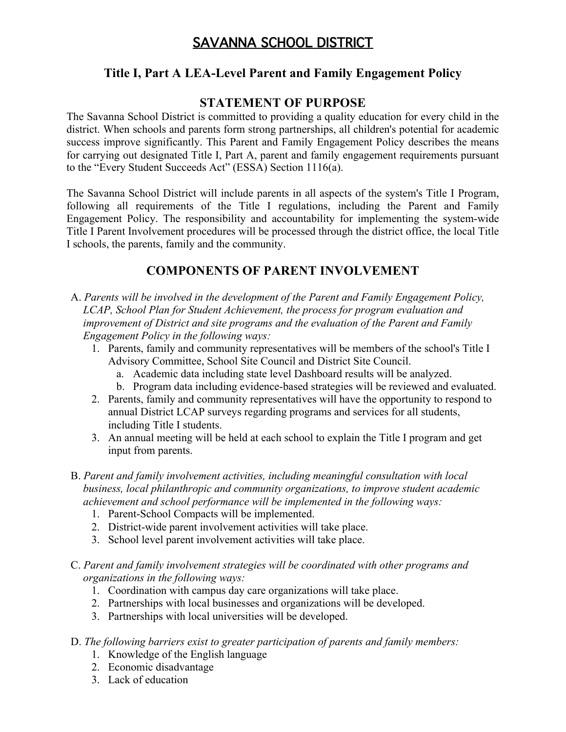# SAVANNA SCHOOL DISTRICT

## **Title I, Part A LEA-Level Parent and Family Engagement Policy**

## **STATEMENT OF PURPOSE**

The Savanna School District is committed to providing a quality education for every child in the district. When schools and parents form strong partnerships, all children's potential for academic success improve significantly. This Parent and Family Engagement Policy describes the means for carrying out designated Title I, Part A, parent and family engagement requirements pursuant to the "Every Student Succeeds Act" (ESSA) Section 1116(a).

The Savanna School District will include parents in all aspects of the system's Title I Program, following all requirements of the Title I regulations, including the Parent and Family Engagement Policy. The responsibility and accountability for implementing the system-wide Title I Parent Involvement procedures will be processed through the district office, the local Title I schools, the parents, family and the community.

# **COMPONENTS OF PARENT INVOLVEMENT**

- A. *Parents will be involved in the development of the Parent and Family Engagement Policy, LCAP, School Plan for Student Achievement, the process for program evaluation and improvement of District and site programs and the evaluation of the Parent and Family Engagement Policy in the following ways:*
	- 1. Parents, family and community representatives will be members of the school's Title I Advisory Committee, School Site Council and District Site Council.
		- a. Academic data including state level Dashboard results will be analyzed.
		- b. Program data including evidence-based strategies will be reviewed and evaluated.
	- 2. Parents, family and community representatives will have the opportunity to respond to annual District LCAP surveys regarding programs and services for all students, including Title I students.
	- 3. An annual meeting will be held at each school to explain the Title I program and get input from parents.
- B. *Parent and family involvement activities, including meaningful consultation with local business, local philanthropic and community organizations, to improve student academic achievement and school performance will be implemented in the following ways:*
	- 1. Parent-School Compacts will be implemented.
	- 2. District-wide parent involvement activities will take place.
	- 3. School level parent involvement activities will take place.
- C. *Parent and family involvement strategies will be coordinated with other programs and organizations in the following ways:*
	- 1. Coordination with campus day care organizations will take place.
	- 2. Partnerships with local businesses and organizations will be developed.
	- 3. Partnerships with local universities will be developed.
- D. *The following barriers exist to greater participation of parents and family members:*
	- 1. Knowledge of the English language
	- 2. Economic disadvantage
	- 3. Lack of education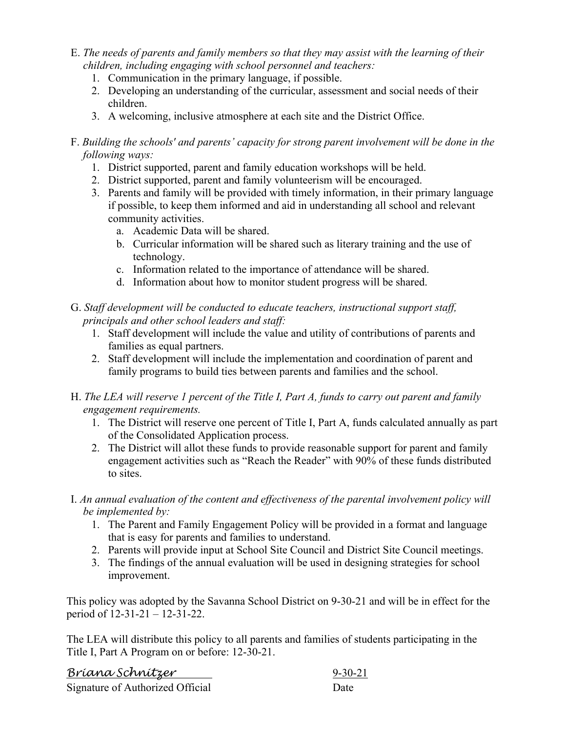- E. *The needs of parents and family members so that they may assist with the learning of their children, including engaging with school personnel and teachers:*
	- 1. Communication in the primary language, if possible.
	- 2. Developing an understanding of the curricular, assessment and social needs of their children.
	- 3. A welcoming, inclusive atmosphere at each site and the District Office.

### F. *Building the schools' and parents' capacity for strong parent involvement will be done in the following ways:*

- 1. District supported, parent and family education workshops will be held.
- 2. District supported, parent and family volunteerism will be encouraged.
- 3. Parents and family will be provided with timely information, in their primary language if possible, to keep them informed and aid in understanding all school and relevant community activities.
	- a. Academic Data will be shared.
	- b. Curricular information will be shared such as literary training and the use of technology.
	- c. Information related to the importance of attendance will be shared.
	- d. Information about how to monitor student progress will be shared.
- G. *Staff development will be conducted to educate teachers, instructional support staff, principals and other school leaders and staff:*
	- 1. Staff development will include the value and utility of contributions of parents and families as equal partners.
	- 2. Staff development will include the implementation and coordination of parent and family programs to build ties between parents and families and the school.
- H. *The LEA will reserve 1 percent of the Title I, Part A, funds to carry out parent and family engagement requirements.*
	- 1. The District will reserve one percent of Title I, Part A, funds calculated annually as part of the Consolidated Application process.
	- 2. The District will allot these funds to provide reasonable support for parent and family engagement activities such as "Reach the Reader" with 90% of these funds distributed to sites.
- I. *An annual evaluation of the content and effectiveness of the parental involvement policy will be implemented by:*
	- 1. The Parent and Family Engagement Policy will be provided in a format and language that is easy for parents and families to understand.
	- 2. Parents will provide input at School Site Council and District Site Council meetings.
	- 3. The findings of the annual evaluation will be used in designing strategies for school improvement.

This policy was adopted by the Savanna School District on 9-30-21 and will be in effect for the period of 12-31-21 – 12-31-22.

The LEA will distribute this policy to all parents and families of students participating in the Title I, Part A Program on or before: 12-30-21.

| <u>Bríana Schnítzer</u>          | $9 - 30 - 21$ |
|----------------------------------|---------------|
| Signature of Authorized Official | Date          |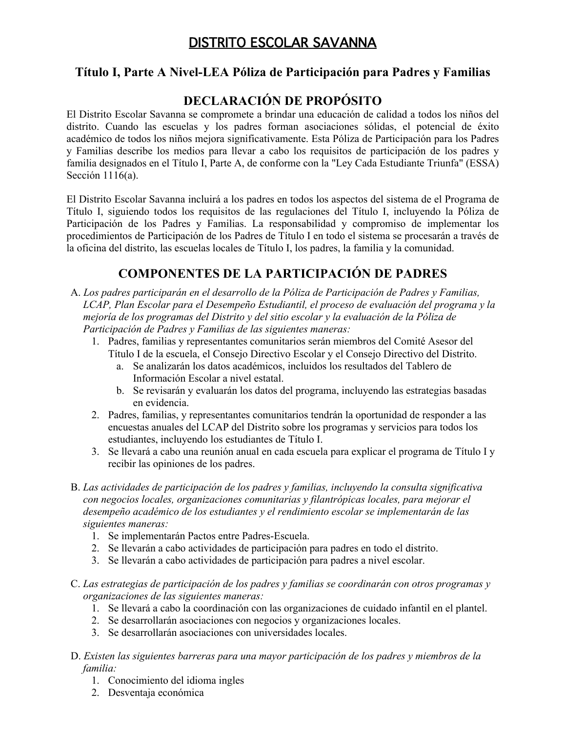# DISTRITO ESCOLAR SAVANNA

## **Título I, Parte A Nivel-LEA Póliza de Participación para Padres y Familias**

# **DECLARACIÓN DE PROPÓSITO**

El Distrito Escolar Savanna se compromete a brindar una educación de calidad a todos los niños del distrito. Cuando las escuelas y los padres forman asociaciones sólidas, el potencial de éxito académico de todos los niños mejora significativamente. Esta Póliza de Participación para los Padres y Familias describe los medios para llevar a cabo los requisitos de participación de los padres y familia designados en el Título I, Parte A, de conforme con la "Ley Cada Estudiante Triunfa" (ESSA) Sección 1116(a).

El Distrito Escolar Savanna incluirá a los padres en todos los aspectos del sistema de el Programa de Título I, siguiendo todos los requisitos de las regulaciones del Título I, incluyendo la Póliza de Participación de los Padres y Familias. La responsabilidad y compromiso de implementar los procedimientos de Participación de los Padres de Título I en todo el sistema se procesarán a través de la oficina del distrito, las escuelas locales de Título I, los padres, la familia y la comunidad.

# **COMPONENTES DE LA PARTICIPACIÓN DE PADRES**

- A. *Los padres participarán en el desarrollo de la Póliza de Participación de Padres y Familias, LCAP, Plan Escolar para el Desempeño Estudiantil, el proceso de evaluación del programa y la mejoría de los programas del Distrito y del sitio escolar y la evaluación de la Póliza de Participación de Padres y Familias de las siguientes maneras:*
	- 1. Padres, familias y representantes comunitarios serán miembros del Comité Asesor del Título I de la escuela, el Consejo Directivo Escolar y el Consejo Directivo del Distrito.
		- a. Se analizarán los datos académicos, incluidos los resultados del Tablero de Información Escolar a nivel estatal.
		- b. Se revisarán y evaluarán los datos del programa, incluyendo las estrategias basadas en evidencia.
	- 2. Padres, familias, y representantes comunitarios tendrán la oportunidad de responder a las encuestas anuales del LCAP del Distrito sobre los programas y servicios para todos los estudiantes, incluyendo los estudiantes de Título I.
	- 3. Se llevará a cabo una reunión anual en cada escuela para explicar el programa de Título I y recibir las opiniones de los padres.
- B. *Las actividades de participación de los padres y familias, incluyendo la consulta significativa con negocios locales, organizaciones comunitarias y filantrópicas locales, para mejorar el desempeño académico de los estudiantes y el rendimiento escolar se implementarán de las siguientes maneras:*
	- 1. Se implementarán Pactos entre Padres-Escuela.
	- 2. Se llevarán a cabo actividades de participación para padres en todo el distrito.
	- 3. Se llevarán a cabo actividades de participación para padres a nivel escolar.
- C. *Las estrategias de participación de los padres y familias se coordinarán con otros programas y organizaciones de las siguientes maneras:*
	- 1. Se llevará a cabo la coordinación con las organizaciones de cuidado infantil en el plantel.
	- 2. Se desarrollarán asociaciones con negocios y organizaciones locales.
	- 3. Se desarrollarán asociaciones con universidades locales.
- D. *Existen las siguientes barreras para una mayor participación de los padres y miembros de la familia:*
	- 1. Conocimiento del idioma ingles
	- 2. Desventaja económica